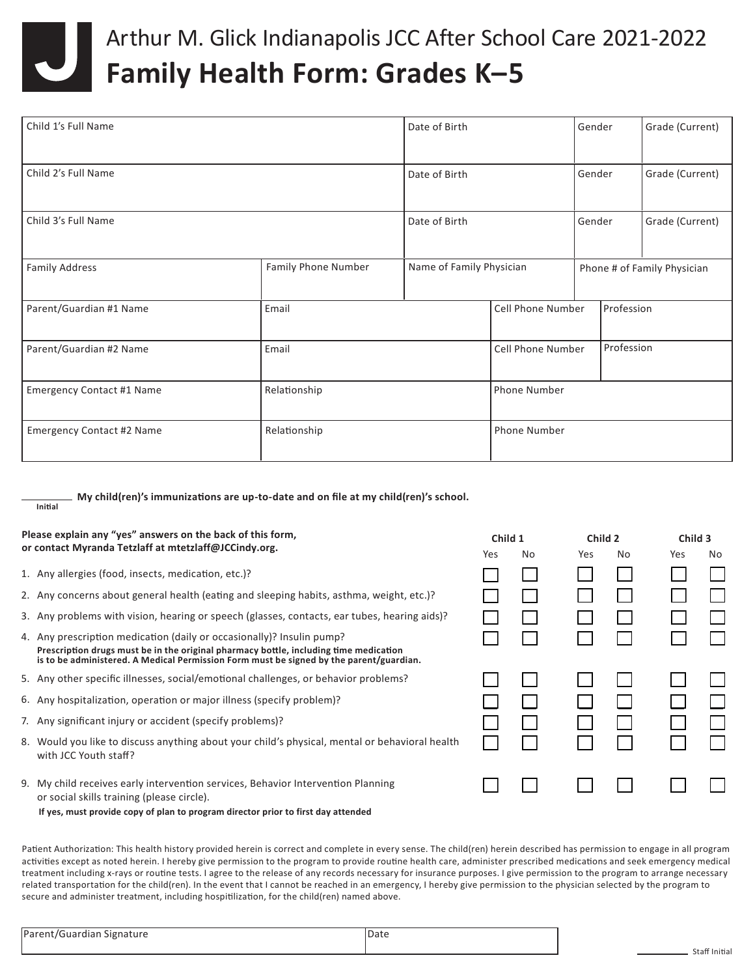

## Arthur M. Glick Indianapolis JCC After School Care 2021-2022 **Family Health Form: Grades K–5**

| Child 1's Full Name              |                     | Date of Birth            |                                 | Gender                      | Grade (Current) |  |
|----------------------------------|---------------------|--------------------------|---------------------------------|-----------------------------|-----------------|--|
| Child 2's Full Name              |                     | Date of Birth            |                                 | Gender                      | Grade (Current) |  |
| Child 3's Full Name              |                     | Date of Birth            |                                 | Gender                      | Grade (Current) |  |
| <b>Family Address</b>            | Family Phone Number | Name of Family Physician |                                 | Phone # of Family Physician |                 |  |
| Parent/Guardian #1 Name          | Email               |                          | Cell Phone Number<br>Profession |                             |                 |  |
| Parent/Guardian #2 Name          | Email               |                          | <b>Cell Phone Number</b>        |                             | Profession      |  |
| <b>Emergency Contact #1 Name</b> | Relationship        |                          | Phone Number                    |                             |                 |  |
| <b>Emergency Contact #2 Name</b> | Relationship        |                          | Phone Number                    |                             |                 |  |

**My child(ren)'s immunizations are up-to-date and on file at my child(ren)'s school. Initial**

| Please explain any "yes" answers on the back of this form,                                                                                                                                                                                                |     | Child 1 |            | Child 2 |     | Child 3 |  |
|-----------------------------------------------------------------------------------------------------------------------------------------------------------------------------------------------------------------------------------------------------------|-----|---------|------------|---------|-----|---------|--|
| or contact Myranda Tetzlaff at mtetzlaff@JCCindy.org.                                                                                                                                                                                                     | Yes | No.     | <b>Yes</b> | No      | Yes | No.     |  |
| 1. Any allergies (food, insects, medication, etc.)?                                                                                                                                                                                                       |     |         |            |         |     |         |  |
| 2. Any concerns about general health (eating and sleeping habits, asthma, weight, etc.)?                                                                                                                                                                  |     |         |            |         |     |         |  |
| 3. Any problems with vision, hearing or speech (glasses, contacts, ear tubes, hearing aids)?                                                                                                                                                              |     |         |            |         |     |         |  |
| 4. Any prescription medication (daily or occasionally)? Insulin pump?<br>Prescription drugs must be in the original pharmacy bottle, including time medication<br>is to be administered. A Medical Permission Form must be signed by the parent/guardian. |     |         |            |         |     |         |  |
| 5. Any other specific illnesses, social/emotional challenges, or behavior problems?                                                                                                                                                                       |     |         |            |         |     |         |  |
| 6. Any hospitalization, operation or major illness (specify problem)?                                                                                                                                                                                     |     |         |            |         |     |         |  |
| 7. Any significant injury or accident (specify problems)?                                                                                                                                                                                                 |     |         |            |         |     |         |  |
| 8. Would you like to discuss anything about your child's physical, mental or behavioral health<br>with JCC Youth staff?                                                                                                                                   |     |         |            |         |     |         |  |
| 9. My child receives early intervention services, Behavior Intervention Planning<br>or social skills training (please circle).                                                                                                                            |     |         |            |         |     |         |  |
| If yes, must provide copy of plan to program director prior to first day attended                                                                                                                                                                         |     |         |            |         |     |         |  |

Patient Authorization: This health history provided herein is correct and complete in every sense. The child(ren) herein described has permission to engage in all program activities except as noted herein. I hereby give permission to the program to provide routine health care, administer prescribed medications and seek emergency medical treatment including x-rays or routine tests. I agree to the release of any records necessary for insurance purposes. I give permission to the program to arrange necessary related transportation for the child(ren). In the event that I cannot be reached in an emergency, I hereby give permission to the physician selected by the program to secure and administer treatment, including hospitilization, for the child(ren) named above.

| Parent/Guardian Signature | Date |  |
|---------------------------|------|--|
|                           |      |  |